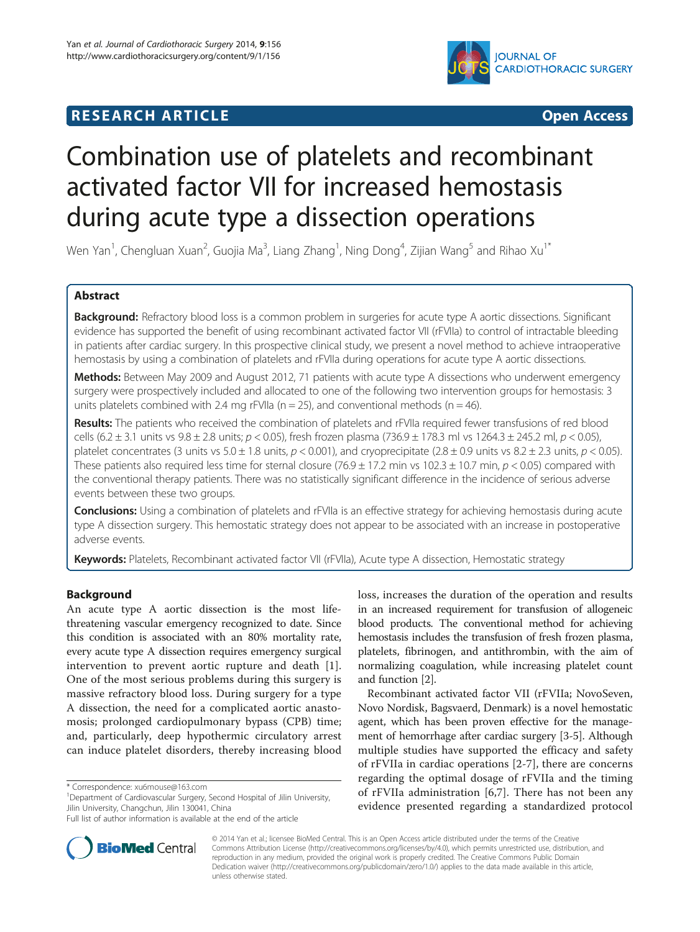# **RESEARCH ARTICLE CONSUMING A RESEARCH ARTICLE**



# Combination use of platelets and recombinant activated factor VII for increased hemostasis during acute type a dissection operations

Wen Yan $^1$ , Chengluan Xuan $^2$ , Guojia Ma $^3$ , Liang Zhang $^1$ , Ning Dong $^4$ , Zijian Wang $^5$  and Rihao Xu $^1{}^*$ 

# Abstract

Background: Refractory blood loss is a common problem in surgeries for acute type A aortic dissections. Significant evidence has supported the benefit of using recombinant activated factor VII (rFVIIa) to control of intractable bleeding in patients after cardiac surgery. In this prospective clinical study, we present a novel method to achieve intraoperative hemostasis by using a combination of platelets and rFVIIa during operations for acute type A aortic dissections.

Methods: Between May 2009 and August 2012, 71 patients with acute type A dissections who underwent emergency surgery were prospectively included and allocated to one of the following two intervention groups for hemostasis: 3 units platelets combined with 2.4 mg rFVIIa ( $n = 25$ ), and conventional methods ( $n = 46$ ).

Results: The patients who received the combination of platelets and rFVIIa required fewer transfusions of red blood cells (6.2 ± 3.1 units vs  $9.8 \pm 2.8$  units;  $p < 0.05$ ), fresh frozen plasma (736.9 ± 178.3 ml vs 1264.3 ± 245.2 ml,  $p < 0.05$ ), platelet concentrates (3 units vs  $5.0 \pm 1.8$  units,  $p < 0.001$ ), and cryoprecipitate (2.8  $\pm$  0.9 units vs 8.2  $\pm$  2.3 units,  $p < 0.05$ ). These patients also required less time for sternal closure (76.9  $\pm$  17.2 min vs 102.3  $\pm$  10.7 min, p < 0.05) compared with the conventional therapy patients. There was no statistically significant difference in the incidence of serious adverse events between these two groups.

Conclusions: Using a combination of platelets and rFVIIa is an effective strategy for achieving hemostasis during acute type A dissection surgery. This hemostatic strategy does not appear to be associated with an increase in postoperative adverse events.

Keywords: Platelets, Recombinant activated factor VII (rFVIIa), Acute type A dissection, Hemostatic strategy

# Background

An acute type A aortic dissection is the most lifethreatening vascular emergency recognized to date. Since this condition is associated with an 80% mortality rate, every acute type A dissection requires emergency surgical intervention to prevent aortic rupture and death [\[1](#page-6-0)]. One of the most serious problems during this surgery is massive refractory blood loss. During surgery for a type A dissection, the need for a complicated aortic anastomosis; prolonged cardiopulmonary bypass (CPB) time; and, particularly, deep hypothermic circulatory arrest can induce platelet disorders, thereby increasing blood

\* Correspondence: [xu6mouse@163.com](mailto:xu6mouse@163.com) <sup>1</sup>

<sup>1</sup>Department of Cardiovascular Surgery, Second Hospital of Jilin University, Jilin University, Changchun, Jilin 130041, China

loss, increases the duration of the operation and results in an increased requirement for transfusion of allogeneic blood products. The conventional method for achieving hemostasis includes the transfusion of fresh frozen plasma, platelets, fibrinogen, and antithrombin, with the aim of normalizing coagulation, while increasing platelet count and function [\[2](#page-6-0)].

Recombinant activated factor VII (rFVIIa; NovoSeven, Novo Nordisk, Bagsvaerd, Denmark) is a novel hemostatic agent, which has been proven effective for the management of hemorrhage after cardiac surgery [\[3](#page-6-0)-[5](#page-6-0)]. Although multiple studies have supported the efficacy and safety of rFVIIa in cardiac operations [\[2](#page-6-0)-[7](#page-6-0)], there are concerns regarding the optimal dosage of rFVIIa and the timing of rFVIIa administration [[6,7\]](#page-6-0). There has not been any evidence presented regarding a standardized protocol



© 2014 Yan et al.; licensee BioMed Central. This is an Open Access article distributed under the terms of the Creative Commons Attribution License [\(http://creativecommons.org/licenses/by/4.0\)](http://creativecommons.org/licenses/by/4.0), which permits unrestricted use, distribution, and reproduction in any medium, provided the original work is properly credited. The Creative Commons Public Domain Dedication waiver [\(http://creativecommons.org/publicdomain/zero/1.0/](http://creativecommons.org/publicdomain/zero/1.0/)) applies to the data made available in this article, unless otherwise stated.

Full list of author information is available at the end of the article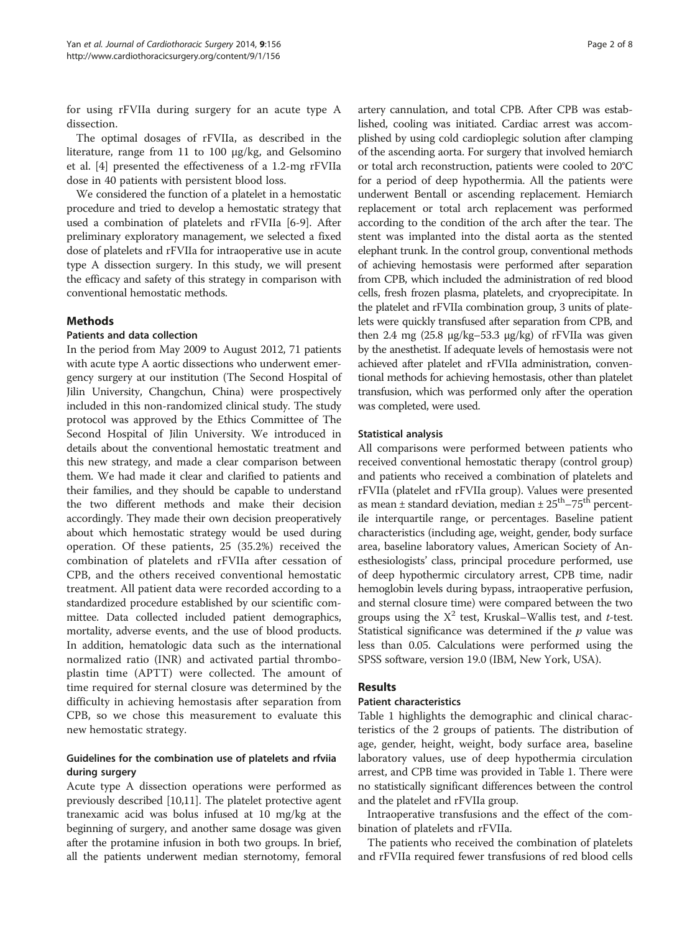for using rFVIIa during surgery for an acute type A dissection.

The optimal dosages of rFVIIa, as described in the literature, range from 11 to 100 μg/kg, and Gelsomino et al. [\[4](#page-6-0)] presented the effectiveness of a 1.2-mg rFVIIa dose in 40 patients with persistent blood loss.

We considered the function of a platelet in a hemostatic procedure and tried to develop a hemostatic strategy that used a combination of platelets and rFVIIa [\[6-9](#page-6-0)]. After preliminary exploratory management, we selected a fixed dose of platelets and rFVIIa for intraoperative use in acute type A dissection surgery. In this study, we will present the efficacy and safety of this strategy in comparison with conventional hemostatic methods.

# **Methods**

# Patients and data collection

In the period from May 2009 to August 2012, 71 patients with acute type A aortic dissections who underwent emergency surgery at our institution (The Second Hospital of Jilin University, Changchun, China) were prospectively included in this non-randomized clinical study. The study protocol was approved by the Ethics Committee of The Second Hospital of Jilin University. We introduced in details about the conventional hemostatic treatment and this new strategy, and made a clear comparison between them. We had made it clear and clarified to patients and their families, and they should be capable to understand the two different methods and make their decision accordingly. They made their own decision preoperatively about which hemostatic strategy would be used during operation. Of these patients, 25 (35.2%) received the combination of platelets and rFVIIa after cessation of CPB, and the others received conventional hemostatic treatment. All patient data were recorded according to a standardized procedure established by our scientific committee. Data collected included patient demographics, mortality, adverse events, and the use of blood products. In addition, hematologic data such as the international normalized ratio (INR) and activated partial thromboplastin time (APTT) were collected. The amount of time required for sternal closure was determined by the difficulty in achieving hemostasis after separation from CPB, so we chose this measurement to evaluate this new hemostatic strategy.

# Guidelines for the combination use of platelets and rfviia during surgery

Acute type A dissection operations were performed as previously described [[10,11](#page-6-0)]. The platelet protective agent tranexamic acid was bolus infused at 10 mg/kg at the beginning of surgery, and another same dosage was given after the protamine infusion in both two groups. In brief, all the patients underwent median sternotomy, femoral

artery cannulation, and total CPB. After CPB was established, cooling was initiated. Cardiac arrest was accomplished by using cold cardioplegic solution after clamping of the ascending aorta. For surgery that involved hemiarch or total arch reconstruction, patients were cooled to 20°C for a period of deep hypothermia. All the patients were underwent Bentall or ascending replacement. Hemiarch replacement or total arch replacement was performed according to the condition of the arch after the tear. The stent was implanted into the distal aorta as the stented elephant trunk. In the control group, conventional methods of achieving hemostasis were performed after separation from CPB, which included the administration of red blood cells, fresh frozen plasma, platelets, and cryoprecipitate. In the platelet and rFVIIa combination group, 3 units of platelets were quickly transfused after separation from CPB, and then 2.4 mg  $(25.8 \text{ μg/kg}-53.3 \text{ μg/kg})$  of rFVIIa was given by the anesthetist. If adequate levels of hemostasis were not achieved after platelet and rFVIIa administration, conventional methods for achieving hemostasis, other than platelet transfusion, which was performed only after the operation was completed, were used.

# Statistical analysis

All comparisons were performed between patients who received conventional hemostatic therapy (control group) and patients who received a combination of platelets and rFVIIa (platelet and rFVIIa group). Values were presented as mean  $\pm$  standard deviation, median  $\pm 25^{\text{th}} - 75^{\text{th}}$  percentile interquartile range, or percentages. Baseline patient characteristics (including age, weight, gender, body surface area, baseline laboratory values, American Society of Anesthesiologists' class, principal procedure performed, use of deep hypothermic circulatory arrest, CPB time, nadir hemoglobin levels during bypass, intraoperative perfusion, and sternal closure time) were compared between the two groups using the  $X^2$  test, Kruskal–Wallis test, and t-test. Statistical significance was determined if the  $p$  value was less than 0.05. Calculations were performed using the SPSS software, version 19.0 (IBM, New York, USA).

# Results

# Patient characteristics

Table [1](#page-2-0) highlights the demographic and clinical characteristics of the 2 groups of patients. The distribution of age, gender, height, weight, body surface area, baseline laboratory values, use of deep hypothermia circulation arrest, and CPB time was provided in Table [1.](#page-2-0) There were no statistically significant differences between the control and the platelet and rFVIIa group.

Intraoperative transfusions and the effect of the combination of platelets and rFVIIa.

The patients who received the combination of platelets and rFVIIa required fewer transfusions of red blood cells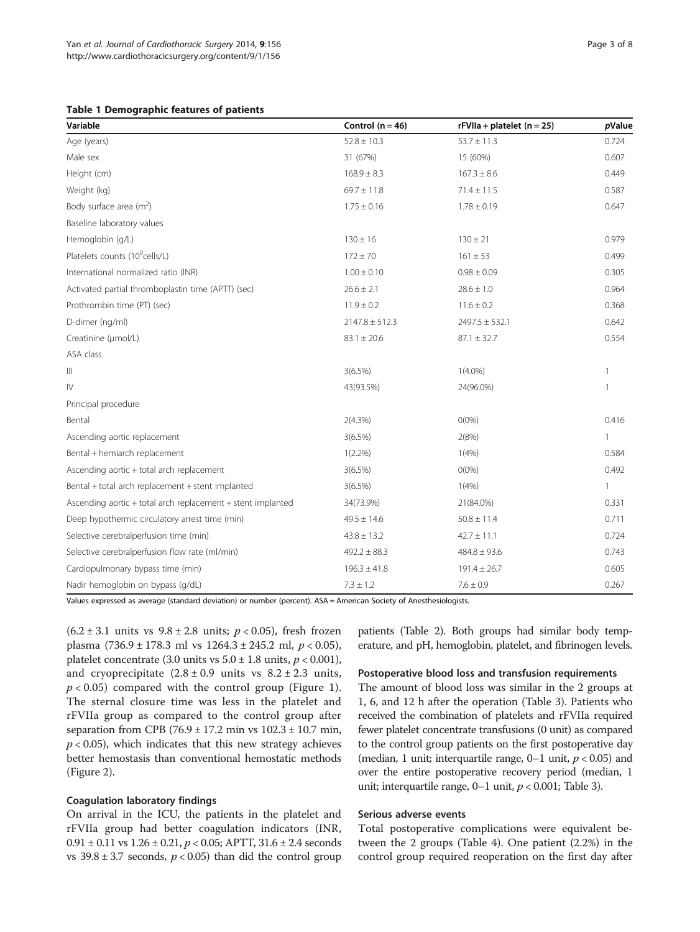<span id="page-2-0"></span>

| Variable                                                    | Control ( $n = 46$ ) | $rFVIIa + platelet (n = 25)$ | pValue       |
|-------------------------------------------------------------|----------------------|------------------------------|--------------|
| Age (years)                                                 | $52.8 \pm 10.3$      | $53.7 \pm 11.3$              | 0.724        |
| Male sex                                                    | 31 (67%)             | 15 (60%)                     | 0.607        |
| Height (cm)                                                 | $168.9 \pm 8.3$      | $167.3 \pm 8.6$              | 0.449        |
| Weight (kg)                                                 | $69.7 \pm 11.8$      | $71.4 \pm 11.5$              | 0.587        |
| Body surface area $(m^2)$                                   | $1.75 \pm 0.16$      | $1.78 \pm 0.19$              | 0.647        |
| Baseline laboratory values                                  |                      |                              |              |
| Hemoglobin (g/L)                                            | $130 \pm 16$         | $130 \pm 21$                 | 0.979        |
| Platelets counts (10 <sup>9</sup> cells/L)                  | $172 \pm 70$         | $161 \pm 53$                 | 0.499        |
| International normalized ratio (INR)                        | $1.00 \pm 0.10$      | $0.98 \pm 0.09$              | 0.305        |
| Activated partial thromboplastin time (APTT) (sec)          | $26.6 \pm 2.1$       | $28.6 \pm 1.0$               | 0.964        |
| Prothrombin time (PT) (sec)                                 | $11.9 \pm 0.2$       | $11.6 \pm 0.2$               | 0.368        |
| D-dimer (ng/ml)                                             | $2147.8 \pm 512.3$   | $2497.5 \pm 532.1$           | 0.642        |
| Creatinine (µmol/L)                                         | $83.1 \pm 20.6$      | $87.1 \pm 32.7$              | 0.554        |
| ASA class                                                   |                      |                              |              |
| $\ensuremath{\mathsf{III}}\xspace$                          | 3(6.5%)              | $1(4.0\%)$                   | $\mathbf{1}$ |
| $\mathsf{IV}$                                               | 43(93.5%)            | 24(96.0%)                    | $\mathbf{1}$ |
| Principal procedure                                         |                      |                              |              |
| Bental                                                      | 2(4.3%)              | $O(0\%)$                     | 0.416        |
| Ascending aortic replacement                                | 3(6.5%)              | 2(8%)                        | $\mathbf{1}$ |
| Bental + hemiarch replacement                               | $1(2.2\%)$           | 1(4% )                       | 0.584        |
| Ascending aortic + total arch replacement                   | 3(6.5%)              | $O(0\%)$                     | 0.492        |
| Bental + total arch replacement + stent implanted           | 3(6.5%)              | 1(4% )                       | $\mathbf{1}$ |
| Ascending aortic + total arch replacement + stent implanted | 34(73.9%)            | 21(84.0%)                    | 0.331        |
| Deep hypothermic circulatory arrest time (min)              | $49.5 \pm 14.6$      | $50.8 \pm 11.4$              | 0.711        |
| Selective cerebralperfusion time (min)                      | $43.8 \pm 13.2$      | $42.7 \pm 11.1$              | 0.724        |
| Selective cerebralperfusion flow rate (ml/min)              | $492.2 \pm 88.3$     | $484.8 \pm 93.6$             | 0.743        |
| Cardiopulmonary bypass time (min)                           | $196.3 \pm 41.8$     | $191.4 \pm 26.7$             | 0.605        |
| Nadir hemoglobin on bypass (g/dL)                           | $7.3 \pm 1.2$        | $7.6 \pm 0.9$                | 0.267        |

Values expressed as average (standard deviation) or number (percent). ASA = American Society of Anesthesiologists.

 $(6.2 \pm 3.1 \text{ units vs } 9.8 \pm 2.8 \text{ units}; p < 0.05)$ , fresh frozen plasma  $(736.9 \pm 178.3 \text{ ml} \text{ vs } 1264.3 \pm 245.2 \text{ ml}, p < 0.05)$ , platelet concentrate (3.0 units vs  $5.0 \pm 1.8$  units,  $p < 0.001$ ), and cryoprecipitate  $(2.8 \pm 0.9 \text{ units} \text{ vs } 8.2 \pm 2.3 \text{ units}$ ,  $p < 0.05$ ) compared with the control group (Figure [1](#page-3-0)). The sternal closure time was less in the platelet and rFVIIa group as compared to the control group after separation from CPB (76.9  $\pm$  17.2 min vs 102.3  $\pm$  10.7 min,  $p < 0.05$ ), which indicates that this new strategy achieves better hemostasis than conventional hemostatic methods (Figure [2](#page-3-0)).

## Coagulation laboratory findings

On arrival in the ICU, the patients in the platelet and rFVIIa group had better coagulation indicators (INR,  $0.91 \pm 0.11$  vs  $1.26 \pm 0.21$ ,  $p < 0.05$ ; APTT,  $31.6 \pm 2.4$  seconds vs  $39.8 \pm 3.7$  seconds,  $p < 0.05$ ) than did the control group patients (Table [2](#page-4-0)). Both groups had similar body temperature, and pH, hemoglobin, platelet, and fibrinogen levels.

## Postoperative blood loss and transfusion requirements

The amount of blood loss was similar in the 2 groups at 1, 6, and 12 h after the operation (Table [3](#page-4-0)). Patients who received the combination of platelets and rFVIIa required fewer platelet concentrate transfusions (0 unit) as compared to the control group patients on the first postoperative day (median, 1 unit; interquartile range,  $0-1$  unit,  $p < 0.05$ ) and over the entire postoperative recovery period (median, 1 unit; interquartile range,  $0-1$  unit,  $p < 0.001$ ; Table [3](#page-4-0)).

#### Serious adverse events

Total postoperative complications were equivalent between the 2 groups (Table [4](#page-5-0)). One patient (2.2%) in the control group required reoperation on the first day after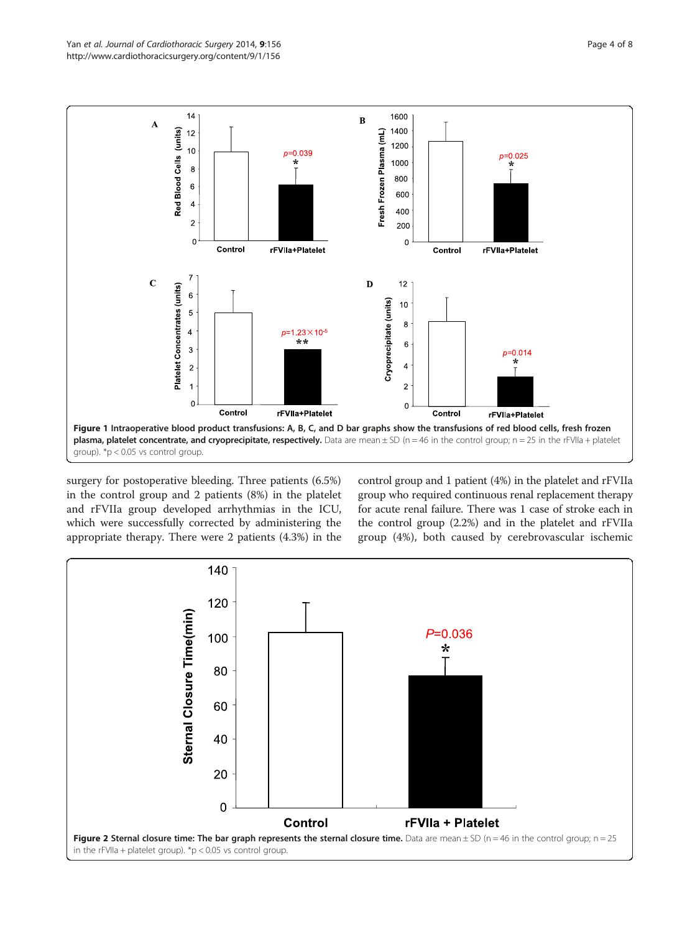<span id="page-3-0"></span>

surgery for postoperative bleeding. Three patients (6.5%) in the control group and 2 patients (8%) in the platelet and rFVIIa group developed arrhythmias in the ICU, which were successfully corrected by administering the appropriate therapy. There were 2 patients (4.3%) in the control group and 1 patient (4%) in the platelet and rFVIIa group who required continuous renal replacement therapy for acute renal failure. There was 1 case of stroke each in the control group (2.2%) and in the platelet and rFVIIa group (4%), both caused by cerebrovascular ischemic

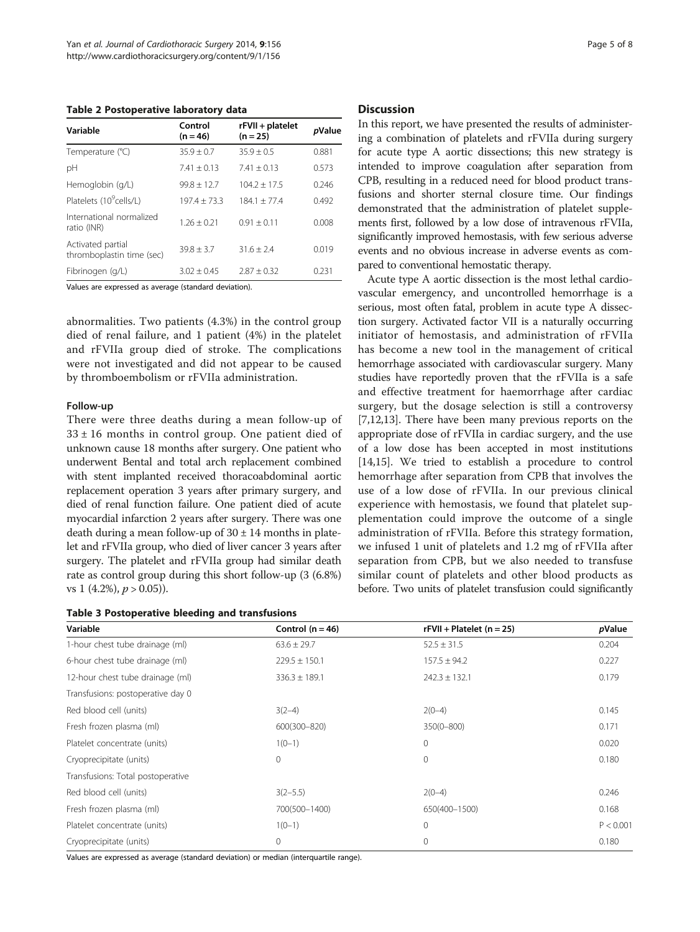<span id="page-4-0"></span>Table 2 Postoperative laboratory data

| Variable                                       | Control<br>$(n = 46)$ | rFVII + platelet<br>$(n = 25)$ | pValue |
|------------------------------------------------|-----------------------|--------------------------------|--------|
| Temperature (°C)                               | $35.9 \pm 0.7$        | $35.9 + 0.5$                   | 0.881  |
| pH                                             | $7.41 + 0.13$         | $7.41 + 0.13$                  | 0.573  |
| Hemoglobin (g/L)                               | $99.8 + 12.7$         | $104.2 + 17.5$                 | 0.246  |
| Platelets (10 <sup>9</sup> cells/L)            | $197.4 + 73.3$        | $184.1 \pm 77.4$               | 0.492  |
| International normalized<br>ratio (INR)        | $1.26 + 0.21$         | $0.91 + 0.11$                  | 0.008  |
| Activated partial<br>thromboplastin time (sec) | $39.8 + 3.7$          | $31.6 + 2.4$                   | 0.019  |
| Fibrinogen (g/L)                               | $3.02 \pm 0.45$       | $7.87 + 0.32$                  | 0.231  |

Values are expressed as average (standard deviation).

abnormalities. Two patients (4.3%) in the control group died of renal failure, and 1 patient (4%) in the platelet and rFVIIa group died of stroke. The complications were not investigated and did not appear to be caused by thromboembolism or rFVIIa administration.

#### Follow-up

There were three deaths during a mean follow-up of  $33 \pm 16$  months in control group. One patient died of unknown cause 18 months after surgery. One patient who underwent Bental and total arch replacement combined with stent implanted received thoracoabdominal aortic replacement operation 3 years after primary surgery, and died of renal function failure. One patient died of acute myocardial infarction 2 years after surgery. There was one death during a mean follow-up of  $30 \pm 14$  months in platelet and rFVIIa group, who died of liver cancer 3 years after surgery. The platelet and rFVIIa group had similar death rate as control group during this short follow-up (3 (6.8%) vs 1  $(4.2\%)$ ,  $p > 0.05$ ).

|  |  | <b>Table 3 Postoperative bleeding and transfusions</b> |  |  |  |
|--|--|--------------------------------------------------------|--|--|--|
|--|--|--------------------------------------------------------|--|--|--|

#### Discussion

In this report, we have presented the results of administering a combination of platelets and rFVIIa during surgery for acute type A aortic dissections; this new strategy is intended to improve coagulation after separation from CPB, resulting in a reduced need for blood product transfusions and shorter sternal closure time. Our findings demonstrated that the administration of platelet supplements first, followed by a low dose of intravenous rFVIIa, significantly improved hemostasis, with few serious adverse events and no obvious increase in adverse events as compared to conventional hemostatic therapy.

Acute type A aortic dissection is the most lethal cardiovascular emergency, and uncontrolled hemorrhage is a serious, most often fatal, problem in acute type A dissection surgery. Activated factor VII is a naturally occurring initiator of hemostasis, and administration of rFVIIa has become a new tool in the management of critical hemorrhage associated with cardiovascular surgery. Many studies have reportedly proven that the rFVIIa is a safe and effective treatment for haemorrhage after cardiac surgery, but the dosage selection is still a controversy [[7,12,13](#page-6-0)]. There have been many previous reports on the appropriate dose of rFVIIa in cardiac surgery, and the use of a low dose has been accepted in most institutions [[14](#page-6-0),[15](#page-6-0)]. We tried to establish a procedure to control hemorrhage after separation from CPB that involves the use of a low dose of rFVIIa. In our previous clinical experience with hemostasis, we found that platelet supplementation could improve the outcome of a single administration of rFVIIa. Before this strategy formation, we infused 1 unit of platelets and 1.2 mg of rFVIIa after separation from CPB, but we also needed to transfuse similar count of platelets and other blood products as before. Two units of platelet transfusion could significantly

| Variable                          | Control $(n = 46)$ | $r$ FVII + Platelet (n = 25) | pValue    |
|-----------------------------------|--------------------|------------------------------|-----------|
| 1-hour chest tube drainage (ml)   | $63.6 \pm 29.7$    | $52.5 \pm 31.5$              | 0.204     |
| 6-hour chest tube drainage (ml)   | $229.5 \pm 150.1$  | $157.5 \pm 94.2$             | 0.227     |
| 12-hour chest tube drainage (ml)  | $336.3 \pm 189.1$  | $242.3 \pm 132.1$            | 0.179     |
| Transfusions: postoperative day 0 |                    |                              |           |
| Red blood cell (units)            | $3(2-4)$           | $2(0-4)$                     | 0.145     |
| Fresh frozen plasma (ml)          | 600(300-820)       | 350(0-800)                   | 0.171     |
| Platelet concentrate (units)      | $1(0-1)$           | 0                            | 0.020     |
| Cryoprecipitate (units)           | 0                  | 0                            | 0.180     |
| Transfusions: Total postoperative |                    |                              |           |
| Red blood cell (units)            | $3(2-5.5)$         | $2(0-4)$                     | 0.246     |
| Fresh frozen plasma (ml)          | 700(500-1400)      | 650(400-1500)                | 0.168     |
| Platelet concentrate (units)      | $1(0-1)$           | $\Omega$                     | P < 0.001 |
| Cryoprecipitate (units)           | 0                  | 0                            | 0.180     |

Values are expressed as average (standard deviation) or median (interquartile range).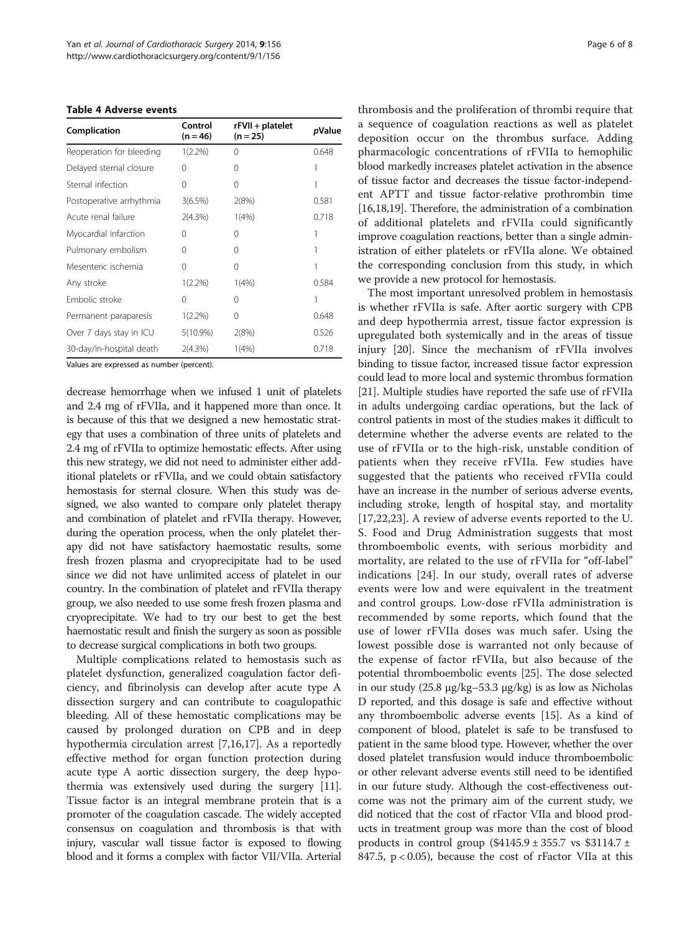#### <span id="page-5-0"></span>Table 4 Adverse events

| Complication             | Control<br>$(n = 46)$ | rFVII + platelet<br>$(n = 25)$ | pValue |
|--------------------------|-----------------------|--------------------------------|--------|
| Reoperation for bleeding | $1(2.2\%)$            | 0                              | 0.648  |
| Delayed sternal closure  | 0                     | 0                              |        |
| Sternal infection        | 0                     | 0                              |        |
| Postoperative arrhythmia | $3(6.5\%)$            | 2(8%)                          | 0.581  |
| Acute renal failure      | 2(4.3%)               | 1(4% )                         | 0.718  |
| Myocardial infarction    | 0                     | 0                              |        |
| Pulmonary embolism       | 0                     | 0                              |        |
| Mesenteric ischemia      | 0                     | 0                              |        |
| Any stroke               | $1(2.2\%)$            | 1(4% )                         | 0.584  |
| Embolic stroke           | 0                     | $\Omega$                       |        |
| Permanent paraparesis    | $1(2.2\%)$            | 0                              | 0.648  |
| Over 7 days stay in ICU  | $5(10.9\%)$           | 2(8%)                          | 0.526  |
| 30-day/in-hospital death | 2(4.3%)               | 1(4% )                         | 0.718  |

Values are expressed as number (percent).

decrease hemorrhage when we infused 1 unit of platelets and 2.4 mg of rFVIIa, and it happened more than once. It is because of this that we designed a new hemostatic strategy that uses a combination of three units of platelets and 2.4 mg of rFVIIa to optimize hemostatic effects. After using this new strategy, we did not need to administer either additional platelets or rFVIIa, and we could obtain satisfactory hemostasis for sternal closure. When this study was designed, we also wanted to compare only platelet therapy and combination of platelet and rFVIIa therapy. However, during the operation process, when the only platelet therapy did not have satisfactory haemostatic results, some fresh frozen plasma and cryoprecipitate had to be used since we did not have unlimited access of platelet in our country. In the combination of platelet and rFVIIa therapy group, we also needed to use some fresh frozen plasma and cryoprecipitate. We had to try our best to get the best haemostatic result and finish the surgery as soon as possible to decrease surgical complications in both two groups.

Multiple complications related to hemostasis such as platelet dysfunction, generalized coagulation factor deficiency, and fibrinolysis can develop after acute type A dissection surgery and can contribute to coagulopathic bleeding. All of these hemostatic complications may be caused by prolonged duration on CPB and in deep hypothermia circulation arrest [[7,](#page-6-0)[16,17\]](#page-7-0). As a reportedly effective method for organ function protection during acute type A aortic dissection surgery, the deep hypothermia was extensively used during the surgery [[11](#page-6-0)]. Tissue factor is an integral membrane protein that is a promoter of the coagulation cascade. The widely accepted consensus on coagulation and thrombosis is that with injury, vascular wall tissue factor is exposed to flowing blood and it forms a complex with factor VII/VIIa. Arterial

thrombosis and the proliferation of thrombi require that a sequence of coagulation reactions as well as platelet deposition occur on the thrombus surface. Adding pharmacologic concentrations of rFVIIa to hemophilic blood markedly increases platelet activation in the absence of tissue factor and decreases the tissue factor-independent APTT and tissue factor-relative prothrombin time [[16](#page-7-0),[18,19\]](#page-7-0). Therefore, the administration of a combination of additional platelets and rFVIIa could significantly improve coagulation reactions, better than a single administration of either platelets or rFVIIa alone. We obtained the corresponding conclusion from this study, in which we provide a new protocol for hemostasis.

The most important unresolved problem in hemostasis is whether rFVIIa is safe. After aortic surgery with CPB and deep hypothermia arrest, tissue factor expression is upregulated both systemically and in the areas of tissue injury [[20\]](#page-7-0). Since the mechanism of rFVIIa involves binding to tissue factor, increased tissue factor expression could lead to more local and systemic thrombus formation [[21](#page-7-0)]. Multiple studies have reported the safe use of rFVIIa in adults undergoing cardiac operations, but the lack of control patients in most of the studies makes it difficult to determine whether the adverse events are related to the use of rFVIIa or to the high-risk, unstable condition of patients when they receive rFVIIa. Few studies have suggested that the patients who received rFVIIa could have an increase in the number of serious adverse events, including stroke, length of hospital stay, and mortality [[17,22,23](#page-7-0)]. A review of adverse events reported to the U. S. Food and Drug Administration suggests that most thromboembolic events, with serious morbidity and mortality, are related to the use of rFVIIa for "off-label" indications [[24\]](#page-7-0). In our study, overall rates of adverse events were low and were equivalent in the treatment and control groups. Low-dose rFVIIa administration is recommended by some reports, which found that the use of lower rFVIIa doses was much safer. Using the lowest possible dose is warranted not only because of the expense of factor rFVIIa, but also because of the potential thromboembolic events [[25](#page-7-0)]. The dose selected in our study (25.8 μg/kg–53.3 μg/kg) is as low as Nicholas D reported, and this dosage is safe and effective without any thromboembolic adverse events [\[15](#page-6-0)]. As a kind of component of blood, platelet is safe to be transfused to patient in the same blood type. However, whether the over dosed platelet transfusion would induce thromboembolic or other relevant adverse events still need to be identified in our future study. Although the cost-effectiveness outcome was not the primary aim of the current study, we did noticed that the cost of rFactor VIIa and blood products in treatment group was more than the cost of blood products in control group  $(\$4145.9 \pm 355.7$  vs  $\$3114.7 \pm$ 847.5,  $p < 0.05$ ), because the cost of rFactor VIIa at this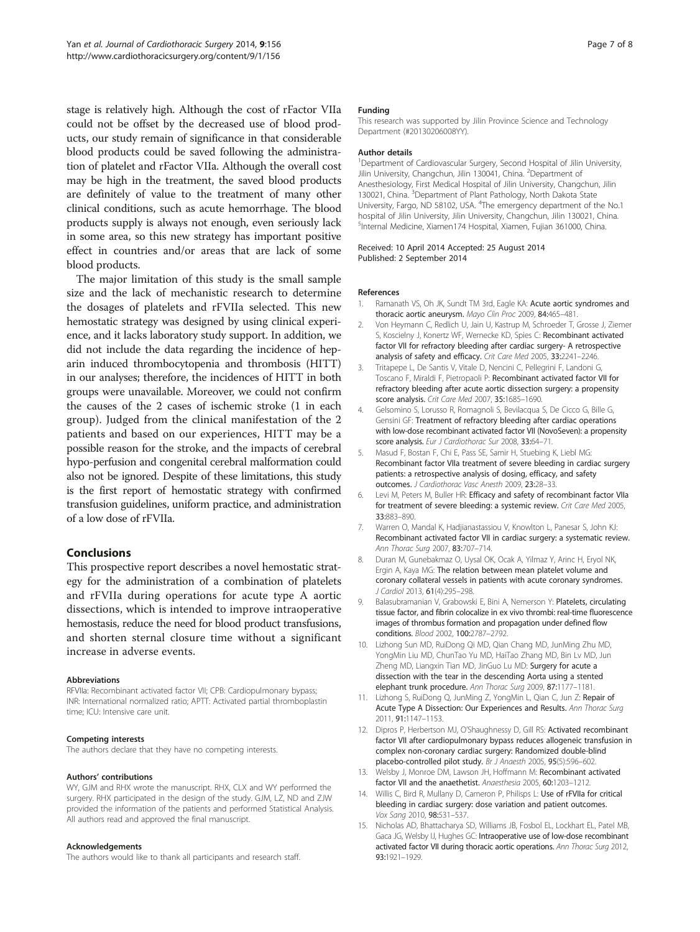<span id="page-6-0"></span>stage is relatively high. Although the cost of rFactor VIIa could not be offset by the decreased use of blood products, our study remain of significance in that considerable blood products could be saved following the administration of platelet and rFactor VIIa. Although the overall cost may be high in the treatment, the saved blood products are definitely of value to the treatment of many other clinical conditions, such as acute hemorrhage. The blood products supply is always not enough, even seriously lack in some area, so this new strategy has important positive effect in countries and/or areas that are lack of some blood products.

The major limitation of this study is the small sample size and the lack of mechanistic research to determine the dosages of platelets and rFVIIa selected. This new hemostatic strategy was designed by using clinical experience, and it lacks laboratory study support. In addition, we did not include the data regarding the incidence of heparin induced thrombocytopenia and thrombosis (HITT) in our analyses; therefore, the incidences of HITT in both groups were unavailable. Moreover, we could not confirm the causes of the 2 cases of ischemic stroke (1 in each group). Judged from the clinical manifestation of the 2 patients and based on our experiences, HITT may be a possible reason for the stroke, and the impacts of cerebral hypo-perfusion and congenital cerebral malformation could also not be ignored. Despite of these limitations, this study is the first report of hemostatic strategy with confirmed transfusion guidelines, uniform practice, and administration of a low dose of rFVIIa.

# Conclusions

This prospective report describes a novel hemostatic strategy for the administration of a combination of platelets and rFVIIa during operations for acute type A aortic dissections, which is intended to improve intraoperative hemostasis, reduce the need for blood product transfusions, and shorten sternal closure time without a significant increase in adverse events.

#### Abbreviations

RFVIIa: Recombinant activated factor VII; CPB: Cardiopulmonary bypass; INR: International normalized ratio; APTT: Activated partial thromboplastin time; ICU: Intensive care unit.

#### Competing interests

The authors declare that they have no competing interests.

#### Authors' contributions

WY, GJM and RHX wrote the manuscript. RHX, CLX and WY performed the surgery. RHX participated in the design of the study. GJM, LZ, ND and ZJW provided the information of the patients and performed Statistical Analysis. All authors read and approved the final manuscript.

#### Acknowledgements

The authors would like to thank all participants and research staff.

#### Funding

This research was supported by Jilin Province Science and Technology Department (#20130206008YY).

#### Author details

<sup>1</sup>Department of Cardiovascular Surgery, Second Hospital of Jilin University, Jilin University, Changchun, Jilin 130041, China. <sup>2</sup>Department of Anesthesiology, First Medical Hospital of Jilin University, Changchun, Jilin 130021, China. <sup>3</sup>Department of Plant Pathology, North Dakota State University, Fargo, ND 58102, USA. <sup>4</sup>The emergency department of the No.1 hospital of Jilin University, Jilin University, Changchun, Jilin 130021, China. 5 Internal Medicine, Xiamen174 Hospital, Xiamen, Fujian 361000, China.

#### Received: 10 April 2014 Accepted: 25 August 2014 Published: 2 September 2014

#### References

- Ramanath VS, Oh JK, Sundt TM 3rd, Eagle KA: Acute aortic syndromes and thoracic aortic aneurysm. Mayo Clin Proc 2009, 84:465-481.
- 2. Von Heymann C, Redlich U, Jain U, Kastrup M, Schroeder T, Grosse J, Ziemer S, Koscielny J, Konertz WF, Wernecke KD, Spies C: Recombinant activated factor VII for refractory bleeding after cardiac surgery- A retrospective analysis of safety and efficacy. Crit Care Med 2005, 33:2241–2246.
- 3. Tritapepe L, De Santis V, Vitale D, Nencini C, Pellegrini F, Landoni G, Toscano F, Miraldi F, Pietropaoli P: Recombinant activated factor VII for refractory bleeding after acute aortic dissection surgery: a propensity score analysis. Crit Care Med 2007, 35:1685–1690.
- 4. Gelsomino S, Lorusso R, Romagnoli S, Bevilacqua S, De Cicco G, Bille G, Gensini GF: Treatment of refractory bleeding after cardiac operations with low-dose recombinant activated factor VII (NovoSeven): a propensity score analysis. Eur J Cardiothorac Sur 2008, 33:64-71.
- 5. Masud F, Bostan F, Chi E, Pass SE, Samir H, Stuebing K, Liebl MG: Recombinant factor VIIa treatment of severe bleeding in cardiac surgery patients: a retrospective analysis of dosing, efficacy, and safety outcomes. J Cardiothorac Vasc Anesth 2009, 23:28–33.
- 6. Levi M, Peters M, Buller HR: Efficacy and safety of recombinant factor VIIa for treatment of severe bleeding: a systemic review. Crit Care Med 2005, 33:883–890.
- 7. Warren O, Mandal K, Hadjianastassiou V, Knowlton L, Panesar S, John KJ: Recombinant activated factor VII in cardiac surgery: a systematic review. Ann Thorac Surg 2007, 83:707–714.
- 8. Duran M, Gunebakmaz O, Uysal OK, Ocak A, Yilmaz Y, Arinc H, Eryol NK, Ergin A, Kaya MG: The relation between mean platelet volume and coronary collateral vessels in patients with acute coronary syndromes. J Cardiol 2013, 61(4):295–298.
- 9. Balasubramanian V, Grabowski E, Bini A, Nemerson Y: Platelets, circulating tissue factor, and fibrin colocalize in ex vivo thrombi: real-time fluorescence images of thrombus formation and propagation under defined flow conditions. Blood 2002, 100:2787–2792.
- 10. Lizhong Sun MD, RuiDong Qi MD, Qian Chang MD, JunMing Zhu MD, YongMin Liu MD, ChunTao Yu MD, HaiTao Zhang MD, Bin Lv MD, Jun Zheng MD, Liangxin Tian MD, JinGuo Lu MD: Surgery for acute a dissection with the tear in the descending Aorta using a stented elephant trunk procedure. Ann Thorac Surg 2009, 87:1177–1181.
- 11. Lizhong S, RuiDong Q, JunMing Z, YongMin L, Qian C, Jun Z: Repair of Acute Type A Dissection: Our Experiences and Results. Ann Thorac Surg 2011, 91:1147–1153.
- 12. Dipros P, Herbertson MJ, O'Shaughnessy D, Gill RS: Activated recombinant factor VII after cardiopulmonary bypass reduces allogeneic transfusion in complex non-coronary cardiac surgery: Randomized double-blind placebo-controlled pilot study. Br J Anaesth 2005, 95(5):596–602.
- 13. Welsby J, Monroe DM, Lawson JH, Hoffmann M: Recombinant activated factor VII and the anaethetist. Anaesthesia 2005, 60:1203–1212.
- 14. Willis C, Bird R, Mullany D, Cameron P, Philisps L: Use of rFVIIa for critical bleeding in cardiac surgery: dose variation and patient outcomes. Vox Sang 2010, 98:531–537.
- 15. Nicholas AD, Bhattacharya SD, Williams JB, Fosbol EL, Lockhart EL, Patel MB, Gaca JG, Welsby IJ, Hughes GC: Intraoperative use of low-dose recombinant activated factor VII during thoracic aortic operations. Ann Thorac Surg 2012, 93:1921–1929.